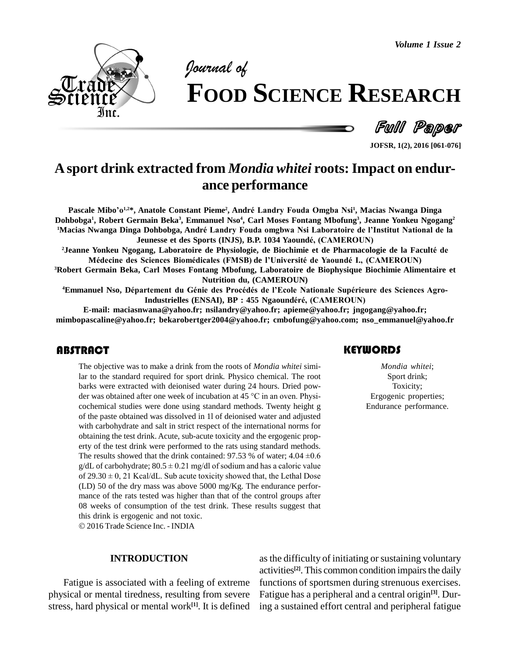

# *of* **FOOD SCIENCE RESEARCH**

Full Paper

**JOFSR, 1(2), 2016 [061-076]**

# **Asport drink extracted from** *Mondia whitei* **roots:Impact on endur ance performance**

ance perrormance<br>Pascale Mibo'o<sup>1,2\*</sup>, Anatole Constant Pieme<sup>2</sup>, André Landry Fouda Omgba Nsi<sup>1</sup>, Macias Nwanga Dinga Dohbobga<sup>1</sup>, Robert Germain Beka<sup>3</sup>, Emmanuel Nso<sup>4</sup>, Carl Moses Fontang Mbofung<sup>3</sup>, Jeanne Yonkeu Ngogang<sup>2</sup> Pascale Mibo'o<sup>1,2\*</sup>, Anatole Constant Pieme<sup>2</sup>, André Landry Fouda Omgba Nsi<sup>1</sup>, Macias Nwanga Dinga<br>Dohbobga<sup>1</sup>, Robert Germain Beka<sup>3</sup>, Emmanuel Nso<sup>4</sup>, Carl Moses Fontang Mbofung<sup>3</sup>, Jeanne Yonkeu Ngogang<sup>2</sup><br>'Macias Nw rmain Beka<sup>3</sup>, Emmanuel Nso<sup>4</sup>, Carl Moses Fontang Mbofung<sup>3</sup>, Jeanne Y<br>a Dohbobga, André Landry Fouda omgbwa Nsi Laboratoire de l'Institu<br>Jeunesse et des Sports (INJS), B.P. 1034 Yaoundé, (CAMEROUN) **<sup>2</sup>Jeanne Yonkeu Ngogang, Laboratoire de Physiologie, de Biochimie et de Pharmacologie de la Facult<sup>È</sup> de**

**Martines e et des Sports (INJS), B.P. 1034 Yaoundé, (CAMEROUN)<br>• Yonkeu Ngogang, Laboratoire de Physiologie, de Biochimie et de Pharmacologie de la Faculté<br>• Médecine des Sciences Biomédicales (FMSB) de l'Université de Ya** 

Robert Germain Beka, Carl Moses Fontang Mbofung, Laboratoire de Biophysique Biochimie Alimentaire et<br>Nutrition du, (CAMEROUN)<br>Emmanuel Nso, Département du Génie des Procédés de l'Ecole Nationale Supérieure des Sciences Agr **Nutrition du, (CAMEROUN)**

**Industrielles (ENSAI), BP : <sup>455</sup> NgaoundÈrÈ, (CAMEROUN)**

**E-mail: [maciasnwana@yahoo.fr;](mailto:maciasnwana@yahoo.fr;) [nsilandry@yahoo.fr;](mailto:nsilandry@yahoo.fr;) [apieme@yahoo.fr;](mailto:apieme@yahoo.fr;) [jngogang@yahoo.fr;](mailto:jngogang@yahoo.fr;) [mimbopascaline@yahoo.fr;](mailto:mimbopascaline@yahoo.fr;) [bekarobertger2004@yahoo.fr;](mailto:bekarobertger2004@yahoo.fr;) [cmbofung@yahoo.com;](mailto:cmbofung@yahoo.com;) [nso\\_emmanuel@yahoo.fr](mailto:nso_emmanuel@yahoo.fr)**

# **ABSTRACT**

The objective was to make a drink from the roots of *Mondia whitei* simi-<br>lar to the standard required for sport drink. Physico chemical. The root barks were extracted with deionised water during 24 hours. Dried pow-<br>larks The objective was to make a drink from the roots of *Mondia whitei* similar to the standard required for sport drink. Physico chemical. The root barks were extracted with deionised water during 24 hours. Dried powder was obtained after one week of incubation at 45 °C in an oven. Physibarks were extracted with deionised water during 24 hours. Dried pow cochemical studies were done using standard methods. Twenty height g of the paste obtained was dissolved in 1l of deionised water and adjusted with carbohydrate and salt in strict respect of the international norms for obtaining the test drink. Acute, sub-acute toxicity and the ergogenic prop erty of the test drink were performed to the rats using standard methods. obtaining the test drink. Acute, sub-acute toxicity and the ergogenic property of the test drink were performed to the rats using standard methods.<br>The results showed that the drink contained:  $97.53$  % of water;  $4.04 \pm$ erty of the test drink were performed to the rats using standard methods.<br>The results showed that the drink contained:  $97.53$  % of water;  $4.04 \pm 0.6$  g/dL of carbohydrate;  $80.5 \pm 0.21$  mg/dl of sodium and has a caloric The results showed that the drink contained: 97.53 % of water; 4.04  $\pm$ 0.6 g/dL of carbohydrate; 80.5  $\pm$  0.21 mg/dl of sodium and has a caloric value of 29.30  $\pm$  0, 21 Kcal/dL. Sub acute toxicity showed that, the Let (LD) 50 of the dry mass was above 5000 mg/Kg. The endurance perfor mance of the rats tested was higher than that of the control groups after 08 weeks of consumption of the test drink. These results suggest that this drink is ergogenic and not toxic.

2016 Trade Science Inc. - INDIA

#### **INTRODUCTION**

Fatigue is associated with a feeling of extreme physical or mental tiredness, resulting from severe stress, hard physical or mental work<sup>[1]</sup>. It is defined ing a stress,

## **KEYWORDS**

*Mondia whitei*; Sport drink; Toxicity; Ergogenic properties; Endurance performance.

as the difficulty of initiating or sustaining voluntary activities **[2]**. This common condition impairsthe daily functions of sportsmen during strenuous exercises. Fatigue has a peripheral and a central origin **[3]**. During a sustained effort central and peripheral fatigue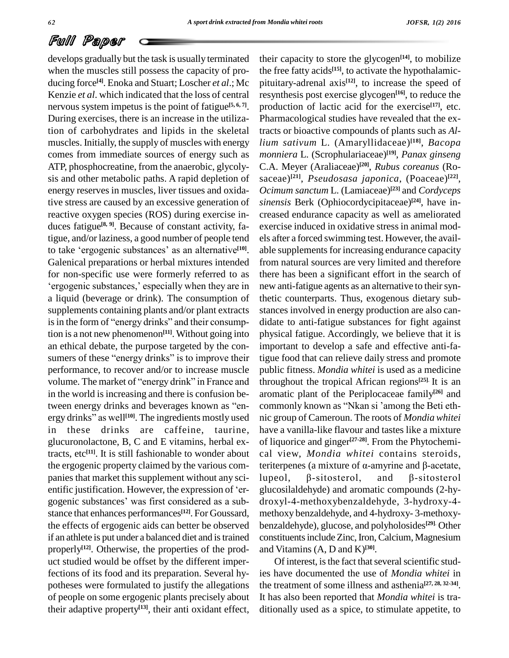develops gradually but the task is usually terminated when the muscles still possess the capacity of pro ducing force **[4]**. Enoka and Stuart; Loscher *et al*.; Mc Kenzie *et al*. which indicated that the loss of central nervous system impetus is the point of fatigue **[5, 6, 7]**. During exercises, there is an increase in the utilization of carbohydrates and lipids in the skeletal muscles. Initially, the supply of muscles with energy comes from immediate sources of energy such as ATP, phosphocreatine, from the anaerobic, glycoly sis and other metabolic paths. A rapid depletion of energy reserves in muscles, liver tissues and oxidative stress are caused by an excessive generation of reactive oxygen species (ROS) during exercise in duces fatigue **[8, 9]**. Because of constant activity, fatigue, and/or laziness, a good number of people tend duces fatigue<sup>[8, 9]</sup>. Because of constant activity, fa-<br>tigue, and/or laziness, a good number of people tend els<br>to take 'ergogenic substances' as an alternative<sup>[10]</sup>. ab to take 'ergogenic substances' as an alternative<sup>[10]</sup>. Galenical preparations or herbal mixtures intended from n<br>for non-specific use were formerly referred to as there h<br>'ergogenic substances.' especially when they are in new an for non-specific use were formerly referred to as a liquid (beverage or drink). The consumption of supplements containing plants and/or plant extracts stand a liquid (beverage or drink). The consumption of<br>supplements containing plants and/or plant extracts<br>is in the form of "energy drinks" and their consumption is a not new phenomenon<sup>[11]</sup>. Without going into physic an ethical debate, the purpose targeted by the con tion is a not new phenomenon<sup>[11]</sup>. Without going into phy<br>an ethical debate, the purpose targeted by the con-<br>sumers of these "energy drinks" is to improve their tigu performance, to recover and/or to increase muscle sumers of these "energy drinks" is to improve their tigue f<br>performance, to recover and/or to increase muscle public<br>volume. The market of "energy drink" in France and throug in the world is increasing and there is confusion bevolume. The market of "energy drink" in France and throw in the world is increasing and there is confusion be-<br>tween energy drinks and beverages known as "enin the world is increasing<br>tween energy drinks and<br>ergy drinks" as well<sup>[10]</sup>. T ergy drinks" as well<sup>[10]</sup>. The ingredients mostly used in these drinks are caffeine, taurine, glucuronolactone, B, C and E vitamins, herbal extracts, etc **[11]**. It is still fashionable to wonder about the ergogenic property claimed by the various com-<br>panies that market this supplement without any sci-<br>entific justification. However, the expression of 'er--glue panies that market this supplement without any sci-<br>entific justification. However, the expression of 'er-<br>gogenic substances' was first considered as a sub-<br>dro stance that enhances performances **[12]**. For Goussard, the effects of ergogenic aids can better be observed if an athlete is put under a balanced diet and is trained properly<sup>[12]</sup>. Otherwise, the properties of the prod- and uct studied would be offset by the different imperfections of its food and its preparation. Several hy potheses were formulated to justify the allegations of people on some ergogenic plants precisely about their adaptive property **[13]**, their anti oxidant effect,

their capacity to store the glycogen **[14]**, to mobilize the free fatty acids **[15]**, to activate the hypothalamic pituitary-adrenal axis **[12]**, to increase the speed of resynthesis post exercise glycogen **[16]**, to reduce the production of lactic acid for the exercise<sup>[17]</sup>, etc. Pharmacological studies have revealed that the extracts or bioactive compounds of plants such as *Allium sativum* L. (Amaryllidaceae) **[18]**, *Bacopa monniera* L. (Scrophulariaceae) **[19]**, *Panax ginseng* C.A. Meyer (Araliaceae) **[20]**, *Rubus coreanus* (Ro saceae) **[21]**, *Pseudosasa japonica*, (Poaceae) **[22]**, *Ocimum sanctum* L. (Lamiaceae) **[23]** and *Cordyceps sinensis* Berk (Ophiocordycipitaceae) **[24]**, have in creased endurance capacity as well as ameliorated exercise induced in oxidative stress in animal mod els after a forced swimming test.However, the avail able supplements for increasing endurance capacity from natural sources are very limited and therefore there has been a significant effort in the search of new anti-fatigue agents as an alternative to their synthetic counterparts. Thus, exogenous dietary sub stances involved in energy production are also can didate to anti-fatigue substances for fight against physical fatigue. Accordingly, we believe that it is important to develop a safe and effective anti-fatigue food that can relieve daily stress and promote public fitness. *Mondia whitei* is used as a medicine throughout the tropical African regions<sup>[25]</sup>. It is an aromatic plant of the Periplocaceae family<sup>[26]</sup> and commonly known as "Nkan si 'among the Beti etharomatic plant of the Periplocaceae family **[26]** and nic group of Cameroun. The roots of *Mondia whitei* have a vanilla-like flavour and tastes like a mixture of liquorice and ginger<sup>[27-28]</sup>. From the Phytochemi-<br>cal view, *Mondia whitei* contains steroids,<br>teriterpenes (a mixture of α-amyrine and β-acetate, cal view, *Mondia whitei* contains steroids,<br>teriterpenes (a mixture of α-amyrine and β-acetate,<br>lupeol, β-sitosterol, and β-sitosterol glucosilaldehyde) and aromatic compounds (2-hy droxyl-4-methoxybenzaldehyde, 3-hydroxy-4 methoxy benzaldehyde, and 4-hydroxy- 3-methoxy benzaldehyde), glucose, and polyholosides **[29]**. Other constituents include Zinc, Iron, Calcium, Magnesium and Vitamins  $(A, D \text{ and } K)^{[30]}.$ 

Of interest, is the fact that several scientific studies have documented the use of *Mondia whitei* in the treatment of some illness and asthenia **[27, 28, 32-34]**. It has also been reported that *Mondia whitei* is tra ditionally used as a spice, to stimulate appetite, to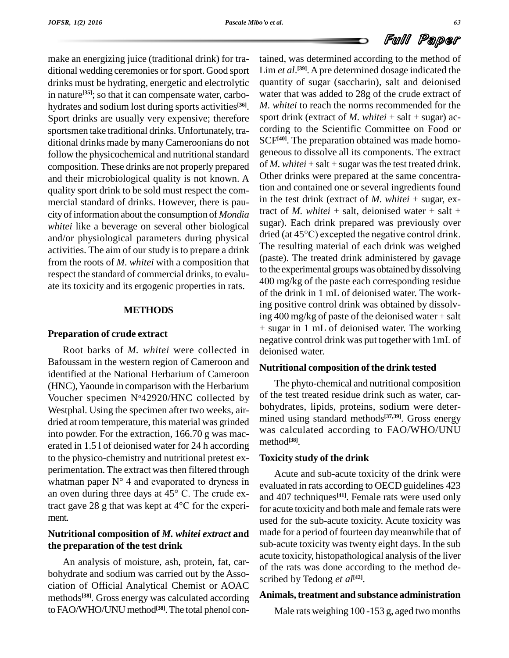make an energizing juice (traditional drink) for tra ditional wedding ceremonies or forsport. Good sport drinks must be hydrating, energetic and electrolytic in nature<sup>[35]</sup>; so that it can compensate water, carbo- wat hydrates and sodium lost during sports activities **[36]**. Sport drinks are usually very expensive; therefore sportsmen take traditional drinks. Unfortunately, tra ditional drinks made bymanyCameroonians do not follow the physicochemical and nutritional standard composition. These drinks are not properly prepared and their microbiological quality is not known. A quality sport drink to be sold must respect the com mercial standard of drinks. However, there is pau city of information about the consumption of *Mondia whitei* like a beverage on several other biological and/or physiological parameters during physical

activities. The aim of our study is to prepare a drink from the roots of *M. whitei* with a composition that respect the standard of commercial drinks, to evalu ate its toxicity and its ergogenic properties in rats.

# **METHODS**

# **Preparation of crude extract**

Root barks of *M. whitei* were collected in Bafoussam in the western region of Cameroon and identified at the National Herbarium of Cameroon (HNC), Yaounde in comparison with the Herbarium Voucher specimen  $N^042920/HNC$  collected by Westphal. Using the specimen after two weeks, air dried at room temperature, this material was grinded into powder. For the extraction, 166.70 g was mac erated in 1.5 l of deionised water for 24 h according to the physico-chemistry and nutritional pretest ex perimentation. The extract was then filtered through to the physico-chemistry and nutritional pretest ex-<br>perimentation. The extract was then filtered through<br>whatman paper  $N^{\circ}$  4 and evaporated to dryness in perimentation. The extract was then filtered through<br>whatman paper  $N^{\circ}$  4 and evaporated to dryness in<br>an oven during three days at 45° C. The crude exwhatman paper  $N^{\circ}$  4 and evaporated to dryness in eva<br>an oven during three days at 45 $^{\circ}$  C. The crude ex-<br>tract gave 28 g that was kept at 4 $^{\circ}$ C for the experiment.

# **Nutritional composition of** *M. whitei extract* **and the preparation of the test drink**

An analysis of moisture, ash, protein, fat, car bohydrate and sodium was carried out by the Asso ciation of Official Analytical Chemist or AOAC methods<sup>[38]</sup>. Gross energy was calculated according **Anima** to FAO/WHO/UNU method **[38]**.The total phenol con-

tained, was determined according to the method of Lim *et al*. **[39]**.Apre determined dosage indicated the quantity of sugar (saccharin), salt and deionised water that was added to 28g of the crude extract of *M. whitei* to reach the norms recommended for the sport drink (extract of *M. whitei* + salt + sugar) ac cording to the Scientific Committee on Food or SCF **[40]**. The preparation obtained was made homo geneous to dissolve allits components. The extract of  $M$ . *whitei* + salt + sugar was the test treated drink. Other drinks were prepared at the same concentration and contained one or several ingredients found in the test drink (extract of *M. whitei* + sugar, extract of *M.* whitei + salt, deionised water + salt + sugar). Each drink prepared was previously over dried (at <sup>45</sup>°C) excepted the negative control drink. The resulting material of each drink was weighed (paste). The treated drink administered by gavage to the experimental groups was obtained bydissolving 400 mg/kg of the paste each corresponding residue of the drink in 1 mL of deionised water. The working positive control drink was obtained by dissolving 400 mg/kg of paste of the deionised water + salt + sugar in 1 mL of deionised water. The working negative control drink was put together with 1mL of deionised water.

## **Nutritional composition of the drink tested**

The phyto-chemical and nutritional composition of the test treated residue drink such as water, car bohydrates, lipids, proteins, sodium were deter mined using standard methods **[37,39]**. Gross energy was calculated according to FAO/WHO/UNU method **[38]**.

## **Toxicity study of the drink**

Acute and sub-acute toxicity of the drink were evaluated in rats according to OECD guidelines 423 and 407 techniques **[41]**. Female rats were used only for acute toxicity and both male and female rats were used for the sub-acute toxicity. Acute toxicity was made for a period of fourteen daymeanwhile that of sub-acute toxicity was twenty eight days. In the sub acute toxicity, histopathological analysis of the liver of the rats was done according to the method de scribed by Tedong *et al* **[42]**.

# **Animals,treatment and substance administration**

Male rats weighing 100 -153 g, aged two months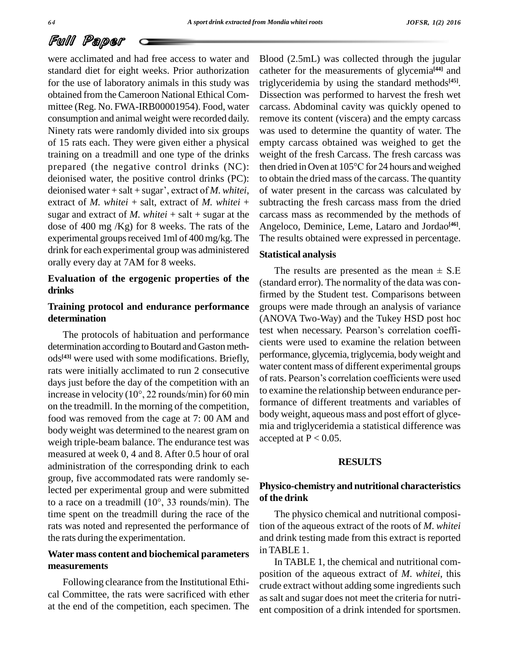were acclimated and had free access to water and standard diet for eight weeks. Prior authorization for the use of laboratory animals in this study was obtained from theCameroon National Ethical Com mittee (Reg. No. FWA-IRB00001954). Food, water consumption and animal weight were recorded daily. Ninety rats were randomly divided into six groups of 15 rats each. They were given either a physical training on a treadmill and one type of the drinks prepared (the negative control drinks (NC): the deionised water, the positive control drinks (PC): to deionised water + salt + sugar', extract of *M. whitei*, of deionised water, the positive control drinks (PC): extract of *M. whitei* + salt, extract of *M. whitei* + sugar and extract of  $M$ . *whitei* + salt + sugar at the dose of 400 mg /Kg) for 8 weeks. The rats of the experimental groups received 1ml of  $400 \text{ mg/kg}$ . The drink for each experimental group was administered orally every day at 7AM for 8 weeks.

# **Evaluation of the ergogenic properties of the drinks**

# **Training protocol and endurance performance determination**

determination according to Boutard and Gaston methods<sup>[43]</sup> were used with some modifications. Briefly, <sup>pe</sup> rats were initially acclimated to run 2 consecutive<br>days water content mass of different experimental groups<br>of rats. Pearson's correlation coefficients were used days just before the day of the competition with an increase in velocity (10°, <sup>22</sup> rounds/min) for <sup>60</sup> min on the treadmill. In the morning of the competition, food was removed from the cage at 7: 00 AM and body weight was determined to the nearest gram on weigh triple-beam balance. The endurance test was measured at week 0, 4 and 8. After 0.5 hour of oral administration of the corresponding drink to each group, five accommodated rats were randomly selected per experimental group and were submitted to <sup>a</sup> race on <sup>a</sup> treadmill (10°, <sup>33</sup> rounds/min). The time spent on the treadmill during the race of the rats was noted and represented the performance of the rats during the experimentation.

# **Water mass content and biochemical parameters measurements**

Following clearance from the Institutional Ethi cal Committee, the rats were sacrificed with ether at the end of the competition, each specimen. The Blood (2.5mL) was collected through the jugular catheter for the measurements of glycemia **[44]** and triglyceridemia by using the standard methods **[45]**. Dissection was performed to harvest the fresh wet carcass. Abdominal cavity was quickly opened to remove its content (viscera) and the empty carcass was used to determine the quantity of water. The empty carcass obtained was weighed to get the<br>weight of the fresh Carcass. The fresh carcass was<br>then dried in Oven at 105°C for 24 hours and weighed weight of the fresh Carcass. The fresh carcass was to obtain the dried mass of the carcass. The quantity of water present in the carcass was calculated by subtracting the fresh carcass mass from the dried carcass mass as recommended by the methods of Angeloco, Deminice, Leme, Lataro and Jordao **[46]**. The results obtained were expressed in percentage.

### **Statistical analysis**

The protocols of habituation and performance test when necessary. Pearson's correlation coeffi-The results are presented as the mean  $\pm$  S.E (standard error). The normality of the data was confirmed by the Student test. Comparisons between groups were made through an analysis of variance test when necessary. Pearsonís correlation coeffi- (ANOVA Two-Way) and the Tukey HSD post hoc cients were used to examine the relation between performance, glycemia, triglycemia, bodyweight and water content mass of different experimental groups performance, glycemia, triglycemia, body weight and<br>water content mass of different experimental groups<br>of rats. Pearson's correlation coefficients were used to examine the relationship between endurance performance of different treatments and variables of body weight, aqueous mass and post effort of glyce mia and triglyceridemia a statistical difference was accepted at  $P < 0.05$ .

# **RESULTS**

# **Physico-chemistry and nutritional characteristics of the drink**

The physico chemical and nutritional composition of the aqueous extract of the roots of *M*. *whitei* and drink testing made from this extract is reported in TABLE 1.

In TABLE 1, the chemical and nutritional com position of the aqueous extract of *M*. *whitei*, this crude extract without adding some ingredients such assalt and sugar does not meet the criteria for nutri ent composition of a drink intended for sportsmen.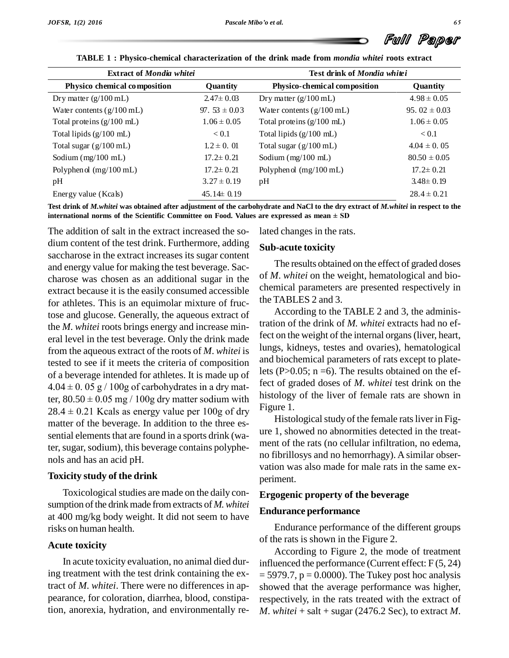

| <b>Extract of Mondia whitei</b>     |                   | Test drink of Mondia whitei         |                  |  |
|-------------------------------------|-------------------|-------------------------------------|------------------|--|
| Physico chemical composition        | Quantity          | Physico-chemical composition        | Quantity         |  |
| Dry matter $(g/100 \text{ mL})$     | $2.47 \pm 0.03$   | Dry matter $(g/100 \text{ mL})$     | $4.98 \pm 0.05$  |  |
| Water contents $(g/100 \text{ mL})$ | 97. $53 \pm 0.03$ | Water contents $(g/100 \text{ mL})$ | 95.02 $\pm$ 0.03 |  |
| Total proteins $(g/100 \text{ mL})$ | $1.06 \pm 0.05$   | Total proteins $(g/100 \text{ mL})$ | $1.06 \pm 0.05$  |  |
| Total lipids $(g/100 \text{ mL})$   | < 0.1             | Total lipids $(g/100 \text{ mL})$   | < 0.1            |  |
| Total sugar $(g/100 \text{ mL})$    | $1.2 \pm 0.01$    | Total sugar $(g/100 \text{ mL})$    | $4.04 \pm 0.05$  |  |
| Sodium $(mg/100 \text{ mL})$        | $17.2 \pm 0.21$   | Sodium $(mg/100 \text{ mL})$        | $80.50 \pm 0.05$ |  |
| Polyphenol $(mg/100 \text{ mL})$    | $17.2 \pm 0.21$   | Polyphen ol $(mg/100 \text{ mL})$   | $17.2 \pm 0.21$  |  |
| pH                                  | $3.27 \pm 0.19$   | pH                                  | $3.48 \pm 0.19$  |  |
| Energy value (Kcals)                | $45.14 \pm 0.19$  |                                     | $28.4 \pm 0.21$  |  |

**TABLE 1 : Physico-chemical characterization of the drink made from** *mondia whitei* **roots extract**

Test drink of *M.whitei* was obtained after adjustment of the carbohydrate and NaCl to the dry extract of *M.whitei* in respect to the **i**<br>**international norms** of the Scientific Committee on Food. Values are expressed as mean  $\pm$  SD<br>international norms of the Scientific Committee on Food. Values are expressed as mean  $\pm$  SD

The addition of salt in the extract increased the so dium content of the test drink. Furthermore, adding saccharose in the extract increases its sugar content and energy value for making the test beverage. Sac charose was chosen as an additional sugar in the extract because it is the easily consumed accessible for athletes. This is an equimolar mixture of fructose and glucose. Generally, the aqueous extract of the *M*. *whitei* roots brings energy and increase min eral level in the test beverage. Only the drink made from the aqueous extract of the roots of *M*. *whitei* is tested to see if it meets the criteria of composition of a beverage intended for athletes. It is made up of  $\frac{I \text{ }}{I}$ tested to see if it meets the criteria of composition<br>of a beverage intended for athletes. It is made up of  $4.04 \pm 0.05$  g / 100g of carbohydrates in a dry mat- $4.04 \pm 0.05$  g / 100g of carbohydrates in a dry matter,  $80.50 \pm 0.05$  mg / 100g dry matter sodium with  $28.4 \pm 0.21$  Kcals as energy value per 100g of dry matter of the beverage. In addition to the three es sential elements that are found in a sports drink (water, sugar, sodium), this beverage contains polyphenols and has an acid pH.

#### **Toxicity study of the drink**

Toxicological studies are made on the daily consumption of the drink made from extracts of *M. whitei* at 400 mg/kg body weight. It did not seem to have risks on human health.

#### **Acute toxicity**

In acute toxicity evaluation, no animal died during treatment with the test drink containing the extract of *M*. *whitei*. There were no differences in ap pearance, for coloration, diarrhea, blood, constipation, anorexia, hydration, and environmentally related changes in the rats.

#### **Sub-acute toxicity**

The results obtained on the effect of graded doses of *M*. *whitei* on the weight, hematological and bio chemical parameters are presented respectively in the TABLES 2 and 3.

According to the TABLE 2 and 3, the administration of the drink of *M. whitei* extracts had no effect on the weight of the internal organs (liver, heart, lungs, kidneys, testes and ovaries), hematological and biochemical parameters of rats except to platelets (P $>0.05$ ; n =6). The results obtained on the effect of graded doses of *M*. *whitei* test drink on the histology of the liver of female rats are shown in Figure 1.

Histological study of the female rats liver in Figure 1, showed no abnormities detected in the treat ment of the rats (no cellular infiltration, no edema, no fibrillosys and no hemorrhagy). A similar observation was also made for male rats in the same ex periment.

#### **Ergogenic property of the beverage**

#### **Endurance performance**

Endurance performance of the different groups of the rats is shown in the Figure 2.

According to Figure 2, the mode of treatment influenced the performance (Current effect: F (5, 24)  $= 5979.7$ ,  $p = 0.0000$ . The Tukey post hoc analysis showed that the average performance was higher, respectively, in the rats treated with the extract of *M*. *whitei* + salt + sugar (2476.2 Sec), to extract *M*.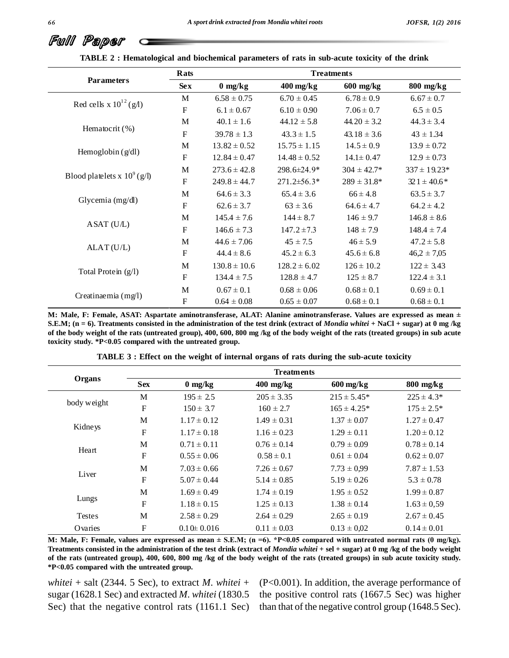|                                | Rats                      | <b>Treatments</b>               |                        |                  |                  |  |
|--------------------------------|---------------------------|---------------------------------|------------------------|------------------|------------------|--|
| <b>Parameters</b>              | <b>Sex</b>                | $0 \frac{\text{mg}}{\text{kg}}$ | $400 \,\mathrm{mg/kg}$ | $600$ mg/kg      | $800$ mg/kg      |  |
|                                | M                         | $6.58 \pm 0.75$                 | $6.70 \pm 0.45$        | $6.78 \pm 0.9$   | $6.67 \pm 0.7$   |  |
| Red cells x $10^{12}$ (g/l)    | $\mathbf F$               | $6.1 \pm 0.67$                  | $6.10 \pm 0.90$        | $7.06 \pm 0.7$   | $6.5 \pm 0.5$    |  |
|                                | M                         | $40.1 \pm 1.6$                  | $44.12 \pm 5.8$        | $44.20 \pm 3.2$  | $44.3 \pm 3.4$   |  |
| Hematocrit (%)                 | $\mathbf F$               | $39.78 \pm 1.3$                 | $43.3 \pm 1.5$         | $43.18 \pm 3.6$  | $43 \pm 1.34$    |  |
|                                | M                         | $13.82 \pm 0.52$                | $15.75 \pm 1.15$       | $14.5 \pm 0.9$   | $13.9 \pm 0.72$  |  |
| Hemoglobin $(g/dl)$            | ${\bf F}$                 | $12.84 \pm 0.47$                | $14.48 \pm 0.52$       | $14.1 \pm 0.47$  | $12.9 \pm 0.73$  |  |
| Blood platelets x $10^9$ (g/l) | M                         | $273.6 \pm 42.8$                | 298.6±24.9*            | $304 \pm 42.7^*$ | $337 \pm 19.23*$ |  |
|                                | $\mathbf F$               | $249.8 \pm 44.7$                | 271.2±56.3*            | $289 \pm 31.8^*$ | $321 \pm 40.6*$  |  |
| Glycemia (mg/dl)               | M                         | $64.6 \pm 3.3$                  | $65.4 \pm 3.6$         | $66 \pm 4.8$     | $63.5 \pm 3.7$   |  |
|                                | $\boldsymbol{\mathrm{F}}$ | $62.6 \pm 3.7$                  | $63 \pm 3.6$           | $64.6 \pm 4.7$   | $64.2 \pm 4.2$   |  |
| ASAT (U/L)                     | M                         | $145.4 \pm 7.6$                 | $144 \pm 8.7$          | $146 \pm 9.7$    | $146.8 \pm 8.6$  |  |
|                                | $\mathbf F$               | $146.6 \pm 7.3$                 | $147.2 \pm 7.3$        | $148 \pm 7.9$    | $148.4 \pm 7.4$  |  |
|                                | M                         | $44.6 \pm 7.06$                 | $45 \pm 7.5$           | $46 \pm 5.9$     | $47.2 \pm 5.8$   |  |
| ALAT(U/L)                      | ${\bf F}$                 | $44.4 \pm 8.6$                  | $45.2 \pm 6.3$         | $45.6 \pm 6.8$   | $46,2 \pm 7,05$  |  |
| Total Protein (g/l)            | M                         | $130.8 \pm 10.6$                | $128.2 \pm 6.02$       | $126 \pm 10.2$   | $122 \pm 3.43$   |  |
|                                | $\mathbf F$               | $134.4 \pm 7.5$                 | $128.8 \pm 4.7$        | $125 \pm 8.7$    | $122.4 \pm 3.1$  |  |
|                                | M                         | $0.67 \pm 0.1$                  | $0.68 \pm 0.06$        | $0.68 \pm 0.1$   | $0.69 \pm 0.1$   |  |
| Creatinaemia (mg/l)            | $\boldsymbol{\mathrm{F}}$ | $0.64 \pm 0.08$                 | $0.65 \pm 0.07$        | $0.68 \pm 0.1$   | $0.68 \pm 0.1$   |  |

**TABLE 2 : Hematological and biochemical parameters of rats in sub-acute toxicity ofthe drink**

**M: Male, F: Female, ASAT: Aspartate aminotransferase, ALAT: Alanine aminotransferase. Values are expressed asmean <sup>±</sup>** S.E.M; (n = 6). Treatments consisted in the administration of the test drink (extract of Mondia whitei + NaCl + sugar) at 0 mg /kg of the body weight of the rats (untreated group), 400, 600, 800 mg /kg of the body weight of the rats (treated groups) in sub acute **toxicity study. \*P<0.05 compared with the untreated group.**

|               | <b>Treatments</b> |                                 |                 |                        |                     |  |  |
|---------------|-------------------|---------------------------------|-----------------|------------------------|---------------------|--|--|
| Organs        | <b>Sex</b>        | $0 \frac{\text{mg}}{\text{kg}}$ | $400$ mg/kg     | $600 \,\mathrm{mg/kg}$ | $800 \text{ mg/kg}$ |  |  |
|               | M                 | $195 \pm 2.5$                   | $205 \pm 3.35$  | $215 \pm 5.45^*$       | $225 \pm 4.3*$      |  |  |
| body weight   | $\mathbf F$       | $150 \pm 3.7$                   | $160 \pm 2.7$   | $165 \pm 4.25*$        | $175 \pm 2.5^*$     |  |  |
|               | M                 | $1.17 \pm 0.12$                 | $1.49 \pm 0.31$ | $1.37 \pm 0.07$        | $1.27 \pm 0.47$     |  |  |
| Kidneys       | F                 | $1.17 \pm 0.18$                 | $1.16 \pm 0.23$ | $1.29 \pm 0.11$        | $1.20 \pm 0.12$     |  |  |
| Heart         | M                 | $0.71 \pm 0.11$                 | $0.76 \pm 0.14$ | $0.79 \pm 0.09$        | $0.78 \pm 0.14$     |  |  |
|               | $\mathbf F$       | $0.55 \pm 0.06$                 | $0.58 \pm 0.1$  | $0.61 \pm 0.04$        | $0.62 \pm 0.07$     |  |  |
|               | M                 | $7.03 \pm 0.66$                 | $7.26 \pm 0.67$ | $7.73 \pm 0.99$        | $7.87 \pm 1.53$     |  |  |
| Liver         | $\mathbf F$       | $5.07 \pm 0.44$                 | $5.14 \pm 0.85$ | $5.19 \pm 0.26$        | $5.3 \pm 0.78$      |  |  |
|               | M                 | $1.69 \pm 0.49$                 | $1.74 \pm 0.19$ | $1.95 \pm 0.52$        | $1.99 \pm 0.87$     |  |  |
| Lungs         | F                 | $1.18 \pm 0.15$                 | $1.25 \pm 0.13$ | $1.38 \pm 0.14$        | $1.63 \pm 0.59$     |  |  |
| <b>Testes</b> | M                 | $2.58 \pm 0.29$                 | $2.64 \pm 0.29$ | $2.65 \pm 0.19$        | $2.67 \pm 0.45$     |  |  |
| Ovaries       | F                 | $0.10 \pm 0.016$                | $0.11 \pm 0.03$ | $0.13 \pm 0.02$        | $0.14 \pm 0.01$     |  |  |

**TABLE 3 : Effect on the weight of internal organs of rats during the sub-acute toxicity**

M: Male, F: Female, values are expressed as mean  $\pm$  S.E.M; (n =6). \*P<0.05 compared with untreated normal rats (0 mg/kg). Treatments consisted in the administration of the test drink (extract of Mondia whitei + sel + sugar) at 0 mg /kg of the body weight of the rats (untreated group), 400, 600, 800 mg /kg of the body weight of the rats (treated groups) in sub acute toxicity study. **\*P<0.05 compared with the untreated group.**

*whitei* + salt (2344. 5 Sec), to extract  $M$ . *whitei* + sugar (1628.1 Sec) and extracted *M*. *whitei* (1830.5 Sec) that the negative control rats (1161.1 Sec) (P<0.001). In addition, the average performance of the positive control rats (1667.5 Sec) was higher than that of the negative control group (1648.5 Sec).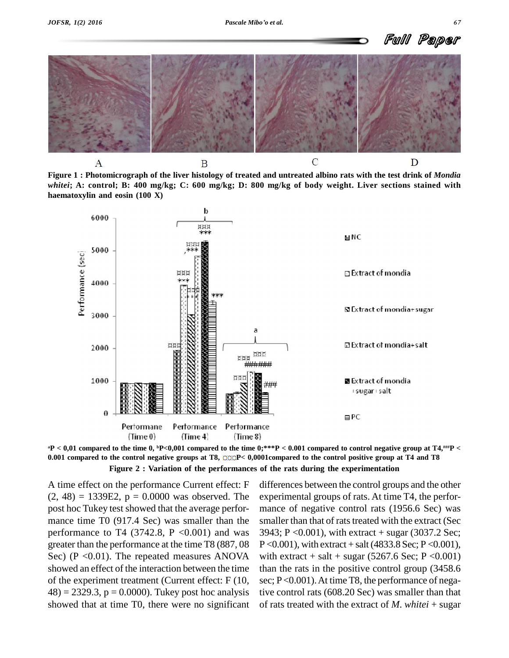

Figure 1 : Photomicrograph of the liver histology of treated and untreated albino rats with the test drink of Mondia whitei; A: control; B: 400 mg/kg; C: 600 mg/kg; D: 800 mg/kg of body weight. Liver sections stained with **haematoxylin and eosin (100 X)**





A time effect on the performance Current effect: F  $(2, 48) = 1339E2$ ,  $p = 0.0000$  was observed. The post hoc Tukey test showed that the average performance time T0 (917.4 Sec) was smaller than the performance to T4 (3742.8,  $P \leq 0.001$ ) and was greater than the performance at the time T8 (887, 08 Sec) ( $P \le 0.01$ ). The repeated measures ANOVA showed an effect of the interaction between the time of the experiment treatment (Current effect: F (10,  $(48) = 2329.3$ ,  $p = 0.0000$ . Tukey post hoc analysis showed that at time T0, there were no significant

differences between the control groups and the other experimental groups of rats. At time T4, the perfor mance of negative control rats (1956.6 Sec) was smaller than that of rats treated with the extract (Sec 3943; P <0.001), with extract + sugar (3037.2 Sec;  $P \le 0.001$ , with extract + salt (4833.8 Sec; P  $\le 0.001$ ), with extract + salt + sugar  $(5267.6 \text{ Sec}; P < 0.001)$ than the rats in the positive control group (3458.6 sec; P<0.001). At time T8, the performance of negative control rats (608.20 Sec) was smaller than that of rats treated with the extract of *M*. *whitei* + sugar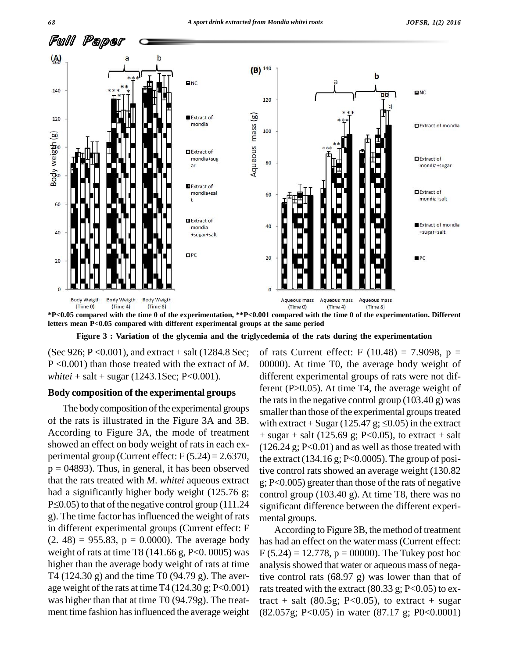

\*P<0.05 compared with the time 0 of the experimentation, \*\*P<0.001 compared with the time 0 of the experimentation. Different **letters mean P<0.05 compared with different experimental groups at the same period**

**Figure 3 : Variation of the glycemia and the triglycedemia ofthe rats during the experimentation**

(Sec 926; P < 0.001), and extract  $+$  salt (1284.8 Sec; P <0.001) than those treated with the extract of *M*. *whitei* + salt + sugar  $(1243.1$ Sec; P<0.001).

#### **Body composition of the experimental groups**

The body composition of the experimental groups According to Figure 3A, the mode of treatment showed an effect on body weight of rats in each ex perimental group (Current effect:  $F(5.24) = 2.6370$ ,  $p = 04893$ . Thus, in general, it has been observed that the rats treated with *M*. *whitei* aqueous extract had a significantly higher body weight (125.76 g;  $P\leq 0.05$ ) to that of the negative control group (111.24 g). The time factor hasinfluenced the weight of rats in different experimental groups (Current effect: F  $(2. 48) = 955.83$ ,  $p = 0.0000$ . The average body weight of rats at time T8 (141.66 g, P<0. 0005) was higher than the average body weight of rats at time T4 (124.30 g) and the time T0 (94.79 g). The aver age weight of the rats at time T4  $(124.30 \text{ g}; P<0.001)$ was higher than that at time T0 (94.79g). The treat ment time fashion has influenced the average weight

of the rats is illustrated in the Figure 3A and 3B. with extract + Sugar  $(125.47 \text{ g}; \leq 0.05)$  in the extract of rats Current effect: F  $(10.48) = 7.9098$ , p = 00000). At time T0, the average body weight of different experimental groups of rats were not different (P>0.05). At time T4, the average weight of the rats in the negative control group  $(103.40 \text{ g})$  was smaller than those of the experimental groups treated the rats in the negative control group (103.40 g) was<br>smaller than those of the experimental groups treated<br>with extract + Sugar (125.47 g;  $\leq$ 0.05) in the extract  $+$  sugar  $+$  salt (125.69 g; P<0.05), to extract  $+$  salt  $(126.24 \text{ g}; P<0.01)$  and as well as those treated with the extract  $(134.16 \text{ g}; P<0.0005)$ . The group of positive control rats showed an average weight (130.82 g; P<0.005) greater than those of the rats of negative control group (103.40 g). At time T8, there was no significant difference between the different experi mental groups.

> According to Figure 3B, the method of treatment has had an effect on the water mass (Current effect:  $F(5.24) = 12.778$ ,  $p = 00000$ ). The Tukey post hoc analysis showed that water or aqueous mass of negative control rats (68.97 g) was lower than that of rats treated with the extract  $(80.33 \text{ g}; P<0.05)$  to extract + salt (80.5g; P<0.05), to extract + sugar (82.057g; P<0.05) in water (87.17 g; P0<0.0001)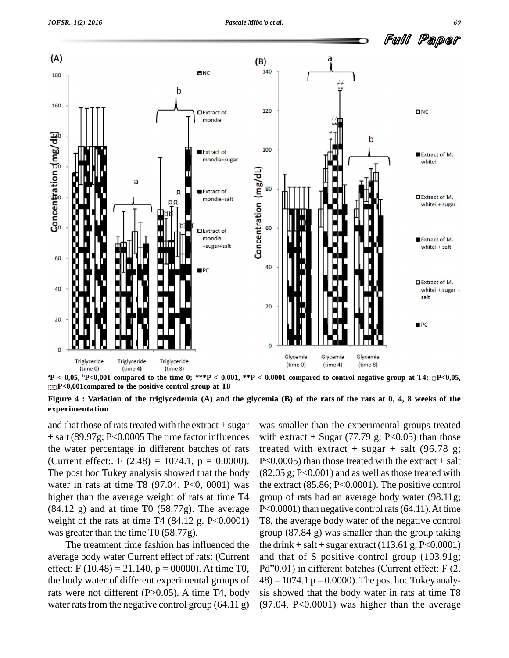

 ${}^{4}P$  < 0,05,  ${}^{5}P$  < 0,001 compared to the time 0; \*\*\*P < 0.001, \*\*P < 0.0001 compared to control negative group at T4;  $\square P$  < 0,05, **P<0,001compared to the positive control group at T8**

Figure 4 : Variation of the triglycedemia (A) and the glycemia (B) of the rats of the rats at 0, 4, 8 weeks of the **experimentation**

and that those of rats treated with the extract  $+$  sugar + salt (89.97g; P<0.0005 The time factor influences the water percentage in different batches of rats (Current effect:. F  $(2.48) = 1074.1$ , p = 0.0000). The post hoc Tukey analysis showed that the body water in rats at time T8 (97.04, P<0, 0001) was higher than the average weight of rats at time T4  $(84.12 \text{ g})$  and at time T0  $(58.77g)$ . The average weight of the rats at time T4  $(84.12 \text{ g. P} < 0.0001)$ was greater than the time T0 (58.77g).

The treatment time fashion has influenced the average body water Current effect of rats: (Current effect: F (10.48) = 21.140,  $p = 00000$ . At time T0, Pd''0.01) in different batches (Current effect: F (2. the body water of different experimental groups of rats were not different  $(P>0.05)$ . A time T4, body water rats from the negative control group  $(64.11 \text{ g})$ 

was smaller than the experimental groups treated with extract + Sugar  $(77.79 \text{ g}; P<0.05)$  than those treated with extract + sugar + salt  $(96.78 \text{ g})$ ;  $P\leq 0.0005$ ) than those treated with the extract + salt  $(82.05 \text{ g}; P<0.001)$  and as well as those treated with the extract (85.86; P<0.0001). The positive control group of rats had an average body water (98.11g; P<0.0001) than negative control rats (64.11). At time T8, the average body water of the negative control group (87.84 g) was smaller than the group taking the drink + salt + sugar extract  $(113.61 \text{ g}; P<0.0001)$ and that of S positive control group (103.91g; the drink + salt + sugar extract (113.61 g; P<0.0001)<br>and that of S positive control group (103.91g;<br>Pd''0.01) in different batches (Current effect: F (2.  $(48) = 1074.1$  p = 0.0000). The post hoc Tukey analysis showed that the body water in rats at time T8 (97.04, P<0.0001) was higher than the average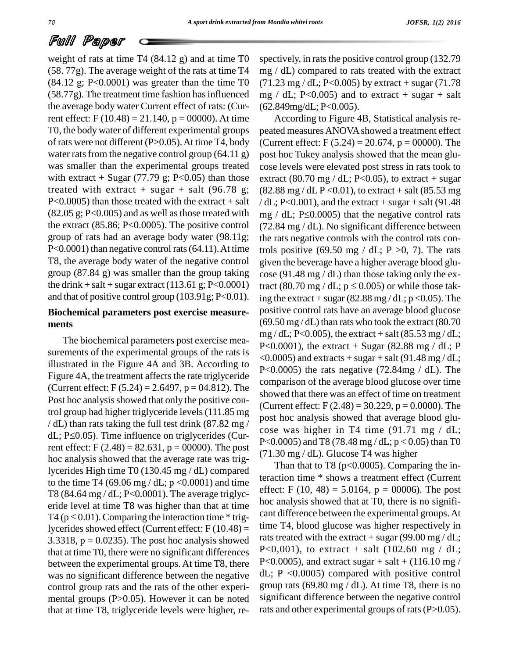weight of rats at time T4 (84.12 g) and at time T0 (58. 77g). The average weight of the rats at time T4  $(84.12 \text{ g}; P<0.0001)$  was greater than the time T0  $(58.77g)$ . The treatment time fashion has influenced the average body water Current effect of rats: (Current effect: F  $(10.48) = 21.140$ , p = 00000). At time T0, the body water of different experimental groups of rats were not different (P>0.05).At time T4, body water rats from the negative control group  $(64.11 \text{ g})$ was smaller than the experimental groups treated with extract + Sugar (77.79 g; P<0.05) than those treated with extract + sugar + salt  $(96.78 \text{ g})$ ;  $P<0.0005$ ) than those treated with the extract + salt the extract (85.86; P<0.0005). The positive control group of rats had an average body water (98.11g; P<0.0001) than negative control rats (64.11). At time T8, the average body water of the negative control group (87.84 g) was smaller than the group taking and that of positive control group (103.91g; P<0.01).

# **Biochemical parameters post exercise measure ments**

The biochemical parameters post exercise mea surements of the experimental groups of the rats is illustrated in the Figure 4A and 3B.According to Figure 4A, the treatment affects the rate triglyceride (Current effect: F  $(5.24) = 2.6497$ , p = 04.812). The Post hoc analysis showed that only the positive control group had higher triglyceride levels (111.85 mg<br>
dL; P \geta 0.05). Time influence on triglycerides (Cur-<br>
dL; P \geta 0.06  $/$  dL) than rats taking the full test drink (87.82 mg/ rent effect: F  $(2.48) = 82.631$ , p = 00000). The post hoc analysis showed that the average rate was triglycerides High time T0 (130.45 mg / dL) compared to the time T4 (69.06 mg / dL;  $p < 0.0001$ ) and time T8 (84.64 mg / dL; P<0.0001). The average triglyceride level at time T8 was higher than that at time  $\frac{\text{hoc}}{\text{d}t}$  hoc T4 (p  $\leq$  0.01). Comparing the interaction time \* trigeride level at time T8 was higher than that at time lycerides showed effect (Current effect:  $F(10.48) =$ 3.3318,  $p = 0.0235$ . The post hoc analysis showed that at time T0, there were no significant differences between the experimental groups.At time T8, there was no significant difference between the negative control group rats and the rats of the other experi mental groups (P>0.05). However it can be noted that at time T8, triglyceride levels were higher, re-

spectively, in rats the positive control group (132.79) mg / dL) compared to rats treated with the extract  $(71.23 \text{ mg}/\text{dL}; P<0.005)$  by extract + sugar  $(71.78$ mg / dL; P<0.005) and to extract + sugar + salt (62.849mg/dL; P<0.005).

 $(82.05 \text{ g}; P<0.005)$  and as well as those treated with mg / dL; P $\leq$ 0.0005) that the negative control rats the drink + salt + sugar extract (113.61 g; P<0.0001) tract (80.70 mg / dL;  $p \le 0.005$ ) or while those tak-According to Figure 4B, Statistical analysis re peated measuresANOVAshowed a treatment effect (Current effect: F  $(5.24) = 20.674$ , p = 00000). The post hoc Tukey analysis showed that the mean glu cose levels were elevated post stress in rats took to extract (80.70 mg / dL; P<0.05), to extract + sugar  $(82.88 \text{ mg} / \text{dL P} < 0.01)$ , to extract + salt  $(85.53 \text{ mg})$  $/dL$ ; P<0.001), and the extract + sugar + salt (91.48 (82.88 mg / dL P < 0.01), to extract + salt (85.53 mg / dL; P < 0.001), and the extract + sugar + salt (91.48 mg / dL; P  $\leq$  0.0005) that the negative control rats (72.84 mg / dL). No significant difference between the rats negative controls with the control rats controls positive (69.50 mg / dL;  $P > 0$ , 7). The rats given the beverage have a higher average blood glu cose (91.48 mg / dL) than those taking only the exgiven the beverage have a higher average blood glucose (91.48 mg / dL) than those taking only the extract (80.70 mg / dL;  $p \le 0.005$ ) or while those taking the extract + sugar  $(82.88 \text{ mg}/\text{dL}; \text{p} < 0.05)$ . The positive control rats have an average blood glucose  $(69.50 \,\text{mg/dL})$  than rats who took the extract  $(80.70 \,\text{m})$ mg / dL; P<0.005), the extract + salt  $(85.53 \text{ mg}/ \text{dL})$ ; P<0.0001), the extract + Sugar (82.88 mg / dL; P  $<$  0.0005) and extracts + sugar + salt (91.48 mg / dL; P<0.0005) the rats negative  $(72.84mg / dL)$ . The comparison of the average blood glucose over time showed that there was an effect of time on treatment (Current effect: F  $(2.48) = 30.229$ , p = 0.0000). The post hoc analysis showed that average blood glu cose was higher in T4 time  $(91.71 \text{ mg} / dL)$ ; P<0.0005) and T8 (78.48 mg / dL;  $p < 0.05$ ) than T0 (71.30 mg / dL). Glucose T4 was higher

> Than that to T8 ( $p<0.0005$ ). Comparing the interaction time \* shows a treatment effect (Current effect: F (10, 48) = 5.0164,  $p = 00006$ ). The post hoc analysis showed that at T0, there is no signifi cant difference between the experimental groups.At time T4, blood glucose was higher respectively in rats treated with the extract + sugar  $(99.00 \text{ mg}/\text{dL})$ ; P<0,001), to extract + salt (102.60 mg / dL; P<0.0005), and extract sugar  $+$  salt  $+$  (116.10 mg /  $dL$ ; P <0.0005) compared with positive control group rats (69.80 mg / dL). At time T8, there is no significant difference between the negative control rats and other experimental groups of rats (P>0.05).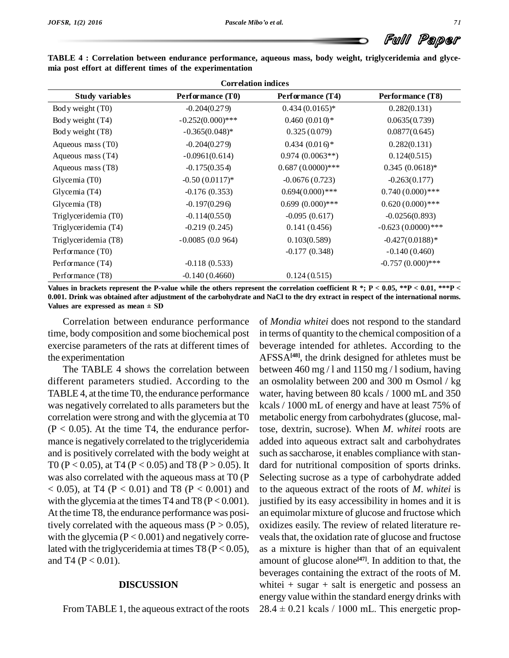|  |  | Full Paper |  |
|--|--|------------|--|
|--|--|------------|--|

| <b>Correlation indices</b> |                     |                    |                     |  |
|----------------------------|---------------------|--------------------|---------------------|--|
| <b>Study variables</b>     | Performance (T0)    | Performance (T4)   | Performance (T8)    |  |
| Body weight (T0)           | $-0.204(0.279)$     | $0.434(0.0165)*$   | 0.282(0.131)        |  |
| Body weight (T4)           | $-0.252(0.000)$ *** | $0.460~(0.010)*$   | 0.0635(0.739)       |  |
| Body weight (T8)           | $-0.365(0.048)$ *   | 0.325(0.079)       | 0.0877(0.645)       |  |
| Aqueous mass (T0)          | $-0.204(0.279)$     | $0.434(0.016)$ *   | 0.282(0.131)        |  |
| Aqueous mass $(T4)$        | $-0.0961(0.614)$    | $0.974(0.0063**)$  | 0.124(0.515)        |  |
| Aqueous mass (T8)          | $-0.175(0.354)$     | $0.687(0.0000)***$ | $0.345(0.0618)$ *   |  |
| Glycemia $(T0)$            | $-0.50(0.0117)$ *   | $-0.0676(0.723)$   | $-0.263(0.177)$     |  |
| Glycemia (T4)              | $-0.176(0.353)$     | $0.694(0.000)$ *** | $0.740(0.000)$ ***  |  |
| Glycemia (T8)              | $-0.197(0.296)$     | $0.699(0.000)$ *** | $0.620(0.000)$ ***  |  |
| Triglyceridemia (T0)       | $-0.114(0.550)$     | $-0.095(0.617)$    | $-0.0256(0.893)$    |  |
| Triglyceridemia (T4)       | $-0.219(0.245)$     | 0.141(0.456)       | $-0.623(0.0000)***$ |  |
| Triglyceridemia (T8)       | $-0.0085(0.0964)$   | 0.103(0.589)       | $-0.427(0.0188)*$   |  |
| Performance (T0)           |                     | $-0.177(0.348)$    | $-0.140(0.460)$     |  |
| Performance (T4)           | $-0.118(0.533)$     |                    | $-0.757(0.000)$ *** |  |
| Performance (T8)           | $-0.140(0.4660)$    | 0.124(0.515)       |                     |  |

**TABLE 4 : Correlation between endurance performance, aqueous mass, body weight, triglyceridemia and glyce mia post effort at different times of the experimentation**

Values in brackets represent the P-value while the others represent the correlation coefficient R \*; P < 0.05, \*\*P < 0.01, \*\*\*P <<br>0.001. Drink was obtained after adjustment of the carbohydrate and NaCl to the dry extract i 0.001. Drink was obtained after adjustment of the carbohydrate and NaCl to the dry extract in respect of the international norms.

Correlation between endurance performance time, body composition and some biochemical post exercise parameters of the rats at different times of the experimentation

The TABLE 4 shows the correlation between different parameters studied. According to the TABLE 4, at the time T0, the endurance performance was negatively correlated to alls parameters but the correlation were strong and with the glycemia at T0  $(P < 0.05)$ . At the time T4, the endurance performance is negatively correlated to the triglyceridemia and is positively correlated with the body weight at T0 (P < 0.05), at T4 (P < 0.05) and T8 (P > 0.05). It was also correlated with the aqueous mass at T0 (P  $<$  0.05), at T4 (P  $<$  0.01) and T8 (P  $<$  0.001) and with the glycemia at the times T4 and T8 ( $P < 0.001$ ). At the time T8, the endurance performance was positively correlated with the aqueous mass ( $P > 0.05$ ), with the glycemia  $(P < 0.001)$  and negatively correlated with the triglyceridemia at times T8 ( $P < 0.05$ ), and T4 ( $P < 0.01$ ).

#### **DISCUSSION**

From TABLE 1, the aqueous extract of the roots  $28.4 \pm 0.21$  kcals / 1000 mL. This energetic prop-

of *Mondia whitei* does not respond to the standard in terms of quantity to the chemical composition of a beverage intended for athletes. According to the AFSSA**[48]**, the drink designed for athletes must be between 460 mg / l and 1150 mg / l sodium, having an osmolality between 200 and 300 m Osmol / kg water, having between 80 kcals / 1000 mL and 350 kcals / 1000 mL of energy and have at least 75% of metabolic energy from carbohydrates(glucose, maltose, dextrin, sucrose). When *M*. *whitei* roots are added into aqueous extract salt and carbohydrates such as saccharose, it enables compliance with standard for nutritional composition of sports drinks. Selecting sucrose as a type of carbohydrate added to the aqueous extract of the roots of *M*. *whitei* is justified by its easy accessibility in homes and it is an equimolar mixture of glucose and fructose which oxidizes easily. The review of related literature re veals that, the oxidation rate of glucose and fructose as a mixture is higher than that of an equivalent amount of glucose alone **[47]**. In addition to that, the beverages containing the extract of the roots of M. whitei  $+$  sugar  $+$  salt is energetic and possess an energy value within the standard energy drinks with whitei  $+$  sugar  $+$  salt is energetic and possess an energy value within the standard energy drinks with  $28.4 \pm 0.21$  kcals  $/ 1000$  mL. This energetic prop-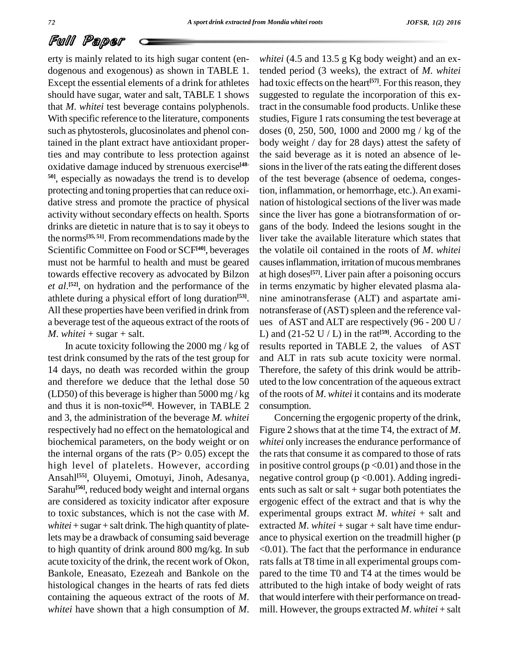erty is mainly related to its high sugar content (en dogenous and exogenous) as shown in TABLE 1. Except the essential elements of a drink for athletes should have sugar, water and salt, TABLE 1 shows that *M*. *whitei* test beverage contains polyphenols. With specific reference to the literature, components such as phytosterols, glucosinolates and phenol contained in the plant extract have antioxidant properties and may contribute to less protection against oxidative damage induced by strenuous exercise **[48- 50]**, especially as nowadays the trend is to develop protecting and toning properties that can reduce oxidative stress and promote the practice of physical activity without secondary effects on health. Sports drinks are dietetic in nature that is to say it obeys to the norms **[35, 51]**. From recommendations made by the Scientific Committee on Food or SCF<sup>[40]</sup>, beverages the v must not be harmful to health and must be geared towards effective recovery as advocated by Bilzon *et al.*<sup>[52]</sup>, on hydration and the performance of the in term athlete during a physical effort of long duration **[53]**. All these properties have been verified in drink from a beverage test of the aqueous extract of the roots of  $M.$  *whitei* + sugar + salt.

In acute toxicity following the 2000 mg / kg of test drink consumed by the rats of the test group for 14 days, no death was recorded within the group and therefore we deduce that the lethal dose 50 (LD50) of this beverage is higher than  $5000 \,\text{mg}/\text{kg}$ and thus it is non-toxic<sup>[54]</sup>. However, in TABLE 2 consun and 3, the administration of the beverage *M. whitei* respectively had no effect on the hematological and biochemical parameters, on the body weight or on the internal organs of the rats  $(P> 0.05)$  except the high level of platelets. However, according Ansahl **[55]**, Oluyemi, Omotuyi, Jinoh, Adesanya, Sarahu<sup>[56]</sup>, reduced body weight and internal organs ents are considered as toxicity indicator after exposure to toxic substances, which is not the case with *M*.  $whitei + sugar + salt$  drink. The high quantity of platelets may be a drawback of consuming said beverage to high quantity of drink around 800 mg/kg. In sub acute toxicity of the drink, the recent work of Okon, Bankole, Eneasato, Ezezeah and Bankole on the histological changes in the hearts of rats fed diets containing the aqueous extract of the roots of *M*. *whitei* have shown that a high consumption of *M*.

*whitei* (4.5 and 13.5 g Kg body weight) and an extended period (3 weeks), the extract of *M*. *whitei* had toxic effects on the heart **[57]**. For thisreason, they suggested to regulate the incorporation of this extract in the consumable food products. Unlike these studies, Figure 1 rats consuming the test beverage at doses (0, 250, 500, 1000 and 2000 mg / kg of the body weight / day for 28 days) attest the safety of the said beverage as it is noted an absence of le sions in the liver of the rats eating the different doses of the test beverage (absence of oedema, congestion, inflammation, or hemorrhage, etc.).An exami nation of histological sections of the liver was made since the liver has gone a biotransformation of or gans of the body. Indeed the lesions sought in the liver take the available literature which states that the volatile oil contained in the roots of *M*. *whitei* causes inflammation, irritation of mucous membranes at high doses **[57]**. Liver pain after a poisoning occurs in terms enzymatic by higher elevated plasma ala nine aminotransferase (ALT) and aspartate ami notransferase of (AST) spleen and the reference values of AST and ALT are respectively (96 - 200 U / L) and  $(21-52 \text{ U} / \text{L})$  in the rat<sup>[59]</sup>. According to the results reported in TABLE 2, the values of AST and ALT in rats sub acute toxicity were normal. Therefore, the safety of this drink would be attrib uted to the low concentration of the aqueous extract of the roots of *M*. *whitei* it contains and its moderate consumption.

Concerning the ergogenic property of the drink, Figure 2 shows that at the time T4, the extract of *M*. *whitei* only increases the endurance performance of the rats that consume it as compared to those of rats in positive control groups ( $p < 0.01$ ) and those in the negative control group (p <0.001). Adding ingredi ents such as salt or salt  $+$  sugar both potentiates the ergogenic effect of the extract and that is why the experimental groups extract *M*. *whitei* + salt and extracted *M*. *whitei* + sugar + salt have time endurance to physical exertion on the treadmill higher (p <0.01). The fact that the performance in endurance rats falls at T8 time in all experimental groups compared to the time T0 and T4 at the times would be attributed to the high intake of body weight of rats that would interfere with their performance on tread mill. However, the groups extracted *M*. *whitei* + salt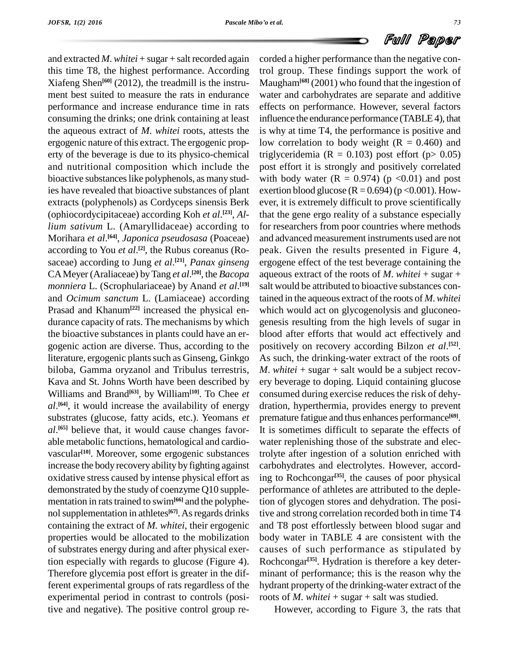and extracted *M*. *whitei* + sugar + salt recorded again this time T8, the highest performance. According Xiafeng Shen **[60]** (2012), the treadmill is the instru ment best suited to measure the rats in endurance performance and increase endurance time in rats consuming the drinks; one drink containing at least the aqueous extract of *M*. *whitei* roots, attests the ergogenic nature of this extract. The ergogenic prop erty of the beverage is due to its physico-chemical and nutritional composition which include the bioactive substances like polyphenols, as many studies have revealed that bioactive substances of plant extracts (polyphenols) as Cordyceps sinensis Berk (ophiocordycipitaceae) according Koh *et al*. **[23]**, *Allium sativum* L. (Amaryllidaceae) according to Morihara *et al*. **[64]**, *Japonica pseudosasa* (Poaceae) according to You *et al*.<sup>[2]</sup>, the Rubus coreanus (Ro- pea saceae) according to Jung *et al.*<sup>[21]</sup>, *Panax ginseng* ergoge CAMeyer (Araliaceae) byTang *et al*. **[20]**, the *Bacopa monniera* L. (Scrophulariaceae) by Anand *et al*. **[19]** and *Ocimum sanctum* L. (Lamiaceae) according Prasad and Khanum**[22]** increased the physical en durance capacity of rats. The mechanisms by which the bioactive substances in plants could have an er gogenic action are diverse. Thus, according to the literature, ergogenic plants such as Ginseng, Ginkgo biloba, Gamma oryzanol and Tribulus terrestris, Kava and St. Johns Worth have been described by Williams and Brand<sup>[63]</sup>, by William<sup>[10]</sup>. To Chee *et* cor *al*. **[64]**, it would increase the availability of energy substrates (glucose, fatty acids, etc.). Yeomans *et al*.<sup>[65]</sup> believe that, it would cause changes favor- It is able metabolic functions, hematological and cardio vascular<sup>[10]</sup>. Moreover, some ergogenic substances troly increase the body recovery ability by fighting against oxidative stress caused by intense physical effort as demonstrated by the study of coenzyme Q10 supple mentation in rats trained to swim<sup>[66]</sup> and the polyphenol supplementation in athletes<sup>[67]</sup>. As regards drinks tive a containing the extract of *M. whitei,* their ergogenic properties would be allocated to the mobilization of substrates energy during and after physical exertion especially with regards to glucose (Figure 4).<br>Therefore glycemia post effort is greater in the different experimental groups of rats regardless of the experimental period in contrast to controls (positive and negative). The positive control group re-

corded a higher performance than the negative control group. These findings support the work of Maugham**[68]** (2001) who found that the ingestion of water and carbohydrates are separate and additive effects on performance. However, several factors influence the endurance performance (TABLE4), that is why at time T4, the performance is positive and low correlation to body weight  $(R = 0.460)$  and triglyceridemia ( $R = 0.103$ ) post effort ( $p > 0.05$ ) post effort it is strongly and positively correlated with body water  $(R = 0.974)$  (p < 0.01) and post exertion blood glucose  $(R = 0.694)$  (p < 0.001). However, it is extremely difficult to prove scientifically that the gene ergo reality of a substance especially for researchers from poor countries where methods and advanced measurement instruments used are not peak. Given the results presented in Figure 4, ergogene effect of the test beverage containing the aqueous extract of the roots of *M*. *whitei* + sugar + salt would be attributed to bioactive substances contained in the aqueous extract of the roots of *M*.*whitei* which would act on glycogenolysis and gluconeo genesis resulting from the high levels of sugar in blood after efforts that would act effectively and positively on recovery according Bilzon *et al*. **[52]**. As such, the drinking-water extract of the roots of *M*. *whitei* + sugar + salt would be a subject recovery beverage to doping. Liquid containing glucose consumed during exercise reduces the risk of dehy dration, hyperthermia, provides energy to prevent premature fatigue and thus enhances performance **[69]**. It is sometimes difficult to separate the effects of water replenishing those of the substrate and electrolyte after ingestion of a solution enriched with carbohydrates and electrolytes. However, according to Rochcongar **[35]**, the causes of poor physical performance of athletes are attributed to the depletion of glycogen stores and dehydration. The positive and strong correlation recorded both in time T4 and T8 post effortlessly between blood sugar and body water in TABLE 4 are consistent with the causes of such performance as stipulated by Rochcongar **[35]**. Hydration is therefore a key deter minant of performance; this is the reason why the hydrant property of the drinking-water extract of the roots of *M*. *whitei* + sugar + salt was studied.

However, according to Figure 3, the rats that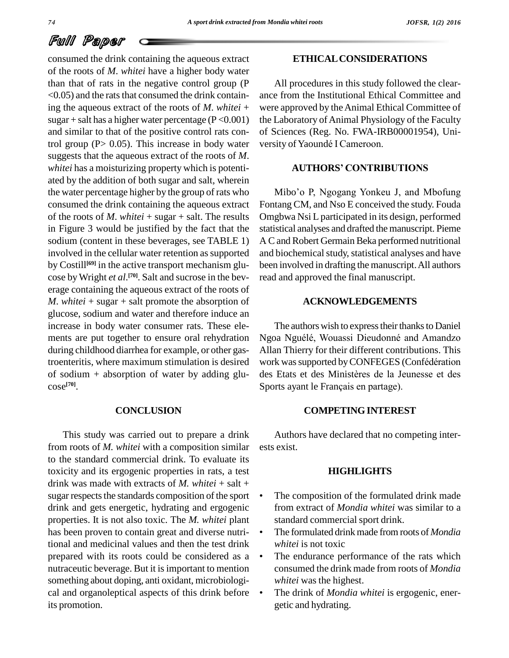consumed the drink containing the aqueous extract of the roots of *M*. *whitei* have a higher body water than that of rats in the negative control group (P  $\leq$  0.05) and the rats that consumed the drink containing the aqueous extract of the roots of *M*. *whitei* + sugar + salt has a higher water percentage ( $P < 0.001$ ) and similar to that of the positive control rats control group (P > 0.05). This increase in body water versity of Yaoundé I Cameroon. suggests that the aqueous extract of the roots of *M*. *whitei* has a moisturizing property which is potentiated by the addition of both sugar and salt, wherein the water percentage higher by the group of rats who consumed the drink containing the aqueous extract of the roots of *M*. *whitei* + sugar + salt. The results in Figure 3 would be justified by the fact that the sodium (content in these beverages, see TABLE 1) involved in the cellular water retention as supported by Costill<sup>[69]</sup> in the active transport mechanism glu- been in cose byWright *et al*. **[70]**. Salt and sucrose in the bev erage containing the aqueous extract of the roots of *M*. *whitei* + sugar + salt promote the absorption of glucose, sodium and water and therefore induce an increase in body water consumer rats. These ele ments are put together to ensure oral rehydration during childhood diarrhea for example, or other gasof sodium  $+$  absorption of water by adding glucose **[70]**.

# **CONCLUSION**

This study was carried out to prepare a drink from roots of *M. whitei* with a composition similar to the standard commercial drink. To evaluate its toxicity and its ergogenic properties in rats, a test drink was made with extracts of  $M$ . *whitei* + salt + sugar respects the standards composition of the sport drink and gets energetic, hydrating and ergogenic properties. It is not also toxic. The *M. whitei* plant has been proven to contain great and diverse nutritional and medicinal values and then the test drink prepared with its roots could be considered as a nutraceutic beverage. But it is important to mention something about doping, anti oxidant, microbiologi cal and organoleptical aspects of this drink before its promotion.

# **ETHICALCONSIDERATIONS**

All procedures in this study followed the clear ance from the Institutional Ethical Committee and were approved by theAnimal Ethical Committee of the Laboratory of Animal Physiology of the Faculty of Sciences (Reg. No. FWA-IRB00001954), Uni the Laboratory of Animal Physiology<br>of Sciences (Reg. No. FWA-IRB00<br>versity of Yaoundé I Cameroon.

## **AUTHORS<sup>í</sup> CONTRIBUTIONS**

Mibo'o P, Ngogang Yonkeu J, and Mbofung Fontang CM, and Nso E conceived the study. Fouda Omgbwa Nsi L participated in its design, performed statistical analyses and drafted the manuscript. Pieme A Cand Robert Germain Beka performed nutritional and biochemical study, statistical analyses and have been involved in drafting the manuscript.All authors read and approved the final manuscript.

# **ACKNOWLEDGEMENTS**

troenteritis, where maximum stimulation is desired work was supported by CONFEGES (Confédération The authors wish to express their thanks to Daniel The authors wish to express their thanks to Daniel<br>Ngoa Nguélé, Wouassi Dieudonné and Amandzo Allan Thierry for their different contributions. This<br>work was supported by CONFEGES (Confédération<br>des Etats et des Ministères de la Jeunesse et des Ngoa Nguélé, Wouassi Dieudonné and Amandzo<br>Allan Thierry for their different contributions. This<br>work was supported by CONFEGES (Confédération des Etats et des Ministères de la Jeunesse et des Sports ayant le Français en partage).

## **COMPETINGINTEREST**

Authors have declared that no competing inter ests exist.

# **HIGHLIGHTS**

- The composition of the formulated drink made from extract of *Mondia whitei* was similar to a standard commercial sport drink. <sup>ï</sup>
- The formulated drink made from roots of *Mondia whitei* is not toxic  $\bullet$
- The endurance performance of the rats which consumed the drink made from roots of *Mondia whitei* was the highest. <sup>ï</sup>
- The drink of *Mondia whitei* is ergogenic, ener getic and hydrating.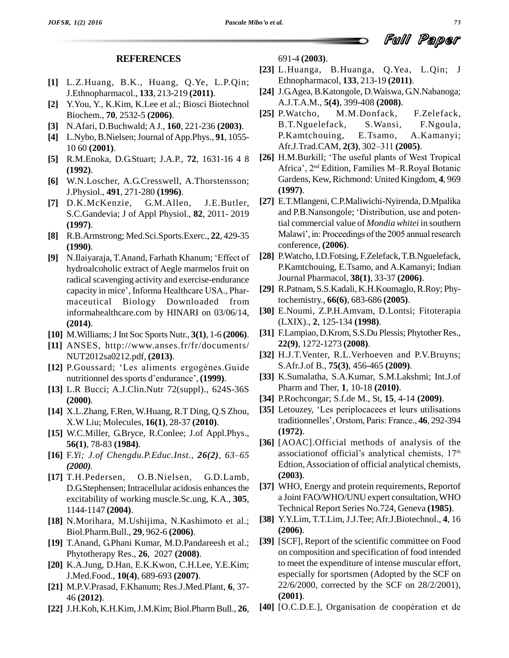#### **REFERENCES**

- **[1]** L.Z.Huang, B.K., Huang, Q.Ye, L.P.Qin; J.Ethnopharmacol., **133**, 213-219 **(2011)**.
- **[2]** Y.You, Y., K.Kim, K.Lee et al.; Biosci Biotechnol Biochem., **70**, 2532-5 **(2006)**.
- **[3]** N.Afari, D.Buchwald; AJ., **160**, 221-236 **(2003)**.
- **[4]** L.Nybo,B.Nielsen;Journal ofApp.Phys., **91**, 1055- 10 60 **(2001)**.
- **[5]** R.M.Enoka, D.G.Stuart; J.A.P., **72**, 1631-16 4 8 **(1992)**.
- **[6]** W.N.Loscher, A.G.Cresswell, A.Thorstensson; J.Physiol., **491**, 271-280 **(1996)**.
- **[7]** D.K.McKenzie, G.M.Allen, J.E.Butler, **(1997)**.
- **[8]** R.B.Armstrong; Med.Sci.Sports.Exerc., **22**, 429-35 **[9]** N.Ilaiyaraja, T.Anand, Farhath Khanum; ëEffect of **(1990)**.
- hydroalcoholic extract of Aegle marmelos fruit on radical scavenging activity and exercise-endurance capacity in mice', Informa Healthcare USA., Pharmaceutical Biology Downloaded from informahealthcare.com by HINARI on 03/06/14, **(2014)**.
- **[10]** M.Williams;JInt Soc Sports Nutr., **3(1)**, 1-6 **(2006)**.
- **[11]** ANSES, <http://www.anses.fr/fr/documents/> NUT2012sa0212.pdf, **(2013)**. [11] ANSES, http://www.anses.fr/fr/documents/<br>NUT2012sa0212.pdf, (2013). [32]<br>[12] P.Goussard; 'Les aliments ergogènes.Guide
- NUT2012sa0212.pdf, (**2013**).<br>P.Goussard; 'Les aliments ergogènes.Guid<br>nutritionnel des sports d'endurance', (**1999**).
- **[13]** L.R Bucci; A.J.Clin.Nutr 72(suppl)., 624S-36S **(2000)**.
- **[14]** X.L.Zhang, F.Ren, W.Huang, R.T Ding, Q.S Zhou, X.W Liu; Molecules, **16(1)**, 28-37 **(2010)**.
- **[15]** W.C.Miller, G.Bryce, R.Conlee; J.of Appl.Phys., **[16]** F.*Yi; J.of Chengdu.P.Educ.Inst., 26(2), <sup>63</sup>ñ<sup>65</sup>* **56(1)**, 78-83 **(1984)**.
- *(2000).*
- **[17]** T.H.Pedersen, O.B.Nielsen, G.D.Lamb, D.G.Stephensen; Intracellular acidosis enhances the excitability of working muscle.Sc.ung, K.A., **305**, 1144-1147 **(2004)**.
- **[18]** N.Morihara, M.Ushijima, N.Kashimoto et al.; Biol.Pharm.Bull., **29**, 962-6 **(2006)**.
- **[19]** T.Anand, G.Phani Kumar, M.D.Pandareesh et al.; Phytotherapy Res., **26**, 2027 **(2008)**.
- **[20]** K.A.Jung, D.Han, E.K.Kwon, C.H.Lee, Y.E.Kim; J.Med.Food., **10(4)**, 689-693 **(2007)**.
- **[21]** M.P.V.Prasad, F.Khanum; Res.J.Med.Plant, **6**, 37- 46 **(2012)**.
- 

691-4 **(2003)**.

- **[23]** L.Huanga, B.Huanga, Q.Yea, L.Qin; J Ethnopharmacol, **133**, 213-19 **(2011)**.
- **[24]** J.G.Agea, B.Katongole, D.Waiswa, G.N.Nabanoga; A.J.T.A.M., **5(4)**, 399-408 **(2008)**.
- M.M.Donfack, F.Zelefack, B.T.Nguelefack, S.Wansi, F.Ngoula, P.Kamtchouing, E.Tsamo, A.Kamanyi; B.T.Nguelefack, S.Wansi, F.Ng<br>P.Kamtchouing, E.Tsamo, A.Kam<br>Afr.J.Trad.CAM, 2(3), 302–311 (2005).
- [26] H.M.Burkill; 'The useful plants of West Tropical Afr.J.Trad.CAM, 2<br>H.M.Burkill; 'The<br>Africa', 2<sup>nd</sup> Edition Africa', 2<sup>nd</sup> Edition, Families M-R.Royal Botanic Gardens, Kew, Richmond: United Kingdom, **4**, 969 **(1997)**.
- S.C.Gandevia; J of Appl Physiol., **82**, 2011- 2019 **[27]** E.T.Mlangeni,C.P.Maliwichi-Nyirenda, D.Mpalika (**1997**).<br>E.T.Mlangeni, C.P.Maliwichi-Nyirenda, D.Mpalika<br>and P.B.Nansongole; 'Distribution, use and potential commercial value of *Mondia whitei* in southern Malawi', in: Proceedings of the 2005 annual research conference, **(2006)**.
	- [28] P.Watcho, I.D.Fotsing, F.Zelefack, T.B.Nguelefack, P.Kamtchouing, E.Tsamo, and A.Kamanyi; Indian Journal Pharmacol, **38(1)**, 33-37 **(2006)**.
	- [29] R.Patnam, S.S.Kadali, K.H.Koumaglo, R.Roy; Phytochemistry., **66(6)**, 683-686 **(2005)**.
	- **[30]** E.Noumi, Z.P.H.Amvam, D.Lontsi; Fitoterapia (LXIX)., **2**, 125-134 **(1998)**.
	- [31] F.Lampiao, D.Krom, S.S.Du Plessis; Phytother Res., **22(9)**, 1272-1273 **(2008)**.
	- **[32]** H.J.T.Venter, R.L.Verhoeven and P.V.Bruyns; S.Afr.J.of B., **75(3)**, 456-465 **(2009)**.
	- **[33]** K.Sumalatha, S.A.Kumar, S.M.Lakshmi; Int.J.of Pharm and Ther, **1**, 10-18 **(2010)**.
	- **[34]** P.Rochcongar; S.f.de M., St, **15**, 4-14 **(2009)**.
	- [35] Letouzey, 'Les periplocacees et leurs utilisations traditionnelles<sup>'</sup>, Orstom, Paris: France., 46, 292-394 **(1972)**.
	- **[36]** [AOAC].Official methods of analysis of the (1972).<br>[AOAC].Official methods of analysis of the<br>associationof official's analytical chemists,  $17<sup>th</sup>$ Edtion,Association of official analytical chemists, **(2003)**.
	- **[37]** WHO, Energy and protein requirements, Reportof a Joint FAO/WHO/UNU expert consultation,WHO Technical Report Series No.724, Geneva **(1985)**.
	- **[38]** Y.Y.Lim, T.T.Lim, J.J.Tee; Afr.J.Biotechnol., **4**, 16 **(2006)**.
	- **[39]** [SCF], Report of the scientific committee on Food on composition and specification of food intended to meet the expenditure of intense muscular effort, especially for sportsmen (Adopted by the SCF on 22/6/2000, corrected by the SCF on 28/2/2001), **(2001)**.<br>**[40]** [O.C.D.E.], Organisation de coopération et de **(2001)**.
- **[22]** J.H.Koh, K.H.Kim,J.M.Kim; Biol.PharmBull., **26**,